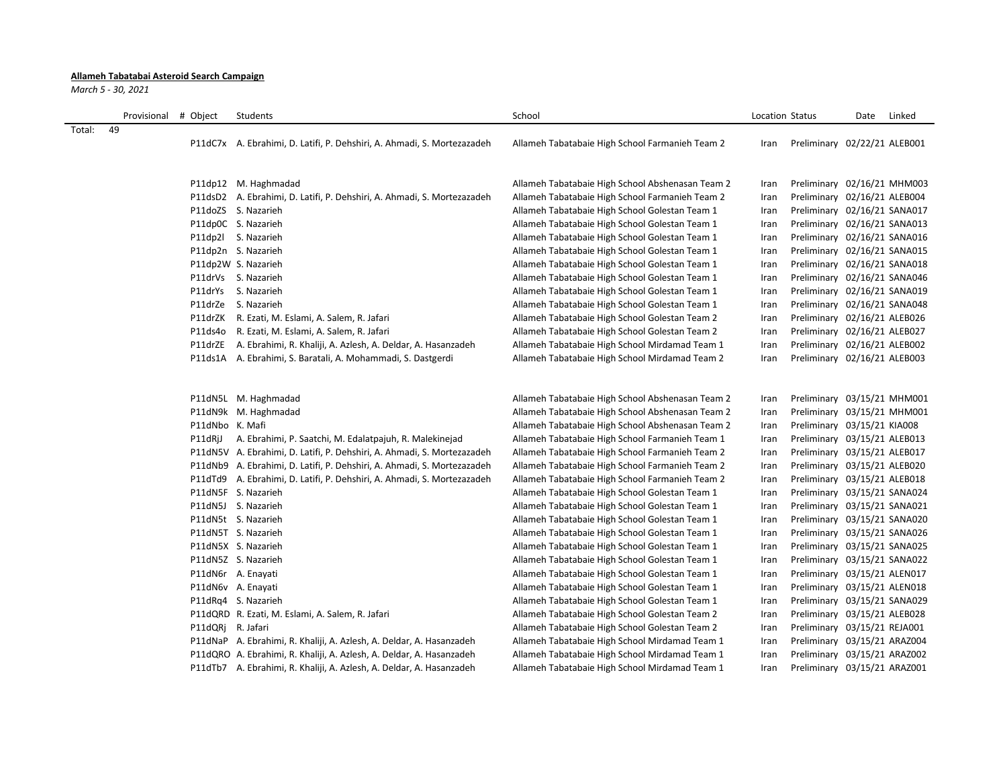## **Allameh Tabatabai Asteroid Search Campaign**

*March 5 - 30, 2021*

|        | Provisional | # Object          | Students                                                                | School                                           | Location Status |                              | Date | Linked |
|--------|-------------|-------------------|-------------------------------------------------------------------------|--------------------------------------------------|-----------------|------------------------------|------|--------|
| Total: | 49          |                   |                                                                         |                                                  |                 |                              |      |        |
|        |             |                   | P11dC7x A. Ebrahimi, D. Latifi, P. Dehshiri, A. Ahmadi, S. Mortezazadeh | Allameh Tabatabaie High School Farmanieh Team 2  | Iran            | Preliminary 02/22/21 ALEB001 |      |        |
|        |             |                   |                                                                         |                                                  |                 |                              |      |        |
|        |             |                   |                                                                         |                                                  |                 |                              |      |        |
|        |             |                   | P11dp12 M. Haghmadad                                                    | Allameh Tabatabaie High School Abshenasan Team 2 | Iran            | Preliminary 02/16/21 MHM003  |      |        |
|        |             |                   | P11dsD2 A. Ebrahimi, D. Latifi, P. Dehshiri, A. Ahmadi, S. Mortezazadeh | Allameh Tabatabaie High School Farmanieh Team 2  | Iran            | Preliminary 02/16/21 ALEB004 |      |        |
|        |             |                   | P11doZS S. Nazarieh                                                     | Allameh Tabatabaie High School Golestan Team 1   | Iran            | Preliminary 02/16/21 SANA017 |      |        |
|        |             |                   | P11dp0C S. Nazarieh                                                     | Allameh Tabatabaie High School Golestan Team 1   | Iran            | Preliminary 02/16/21 SANA013 |      |        |
|        |             |                   | P11dp2l S. Nazarieh                                                     | Allameh Tabatabaie High School Golestan Team 1   | Iran            | Preliminary 02/16/21 SANA016 |      |        |
|        |             |                   | P11dp2n S. Nazarieh                                                     | Allameh Tabatabaie High School Golestan Team 1   | Iran            | Preliminary 02/16/21 SANA015 |      |        |
|        |             |                   | P11dp2W S. Nazarieh                                                     | Allameh Tabatabaie High School Golestan Team 1   | Iran            | Preliminary 02/16/21 SANA018 |      |        |
|        |             |                   | P11drVs S. Nazarieh                                                     | Allameh Tabatabaie High School Golestan Team 1   | Iran            | Preliminary 02/16/21 SANA046 |      |        |
|        |             |                   | P11drYs S. Nazarieh                                                     | Allameh Tabatabaie High School Golestan Team 1   | Iran            | Preliminary 02/16/21 SANA019 |      |        |
|        |             |                   | P11drZe S. Nazarieh                                                     | Allameh Tabatabaie High School Golestan Team 1   | Iran            | Preliminary 02/16/21 SANA048 |      |        |
|        |             |                   | P11drZK R. Ezati, M. Eslami, A. Salem, R. Jafari                        | Allameh Tabatabaie High School Golestan Team 2   | Iran            | Preliminary 02/16/21 ALEB026 |      |        |
|        |             |                   | P11ds4o R. Ezati, M. Eslami, A. Salem, R. Jafari                        | Allameh Tabatabaie High School Golestan Team 2   | Iran            | Preliminary 02/16/21 ALEB027 |      |        |
|        |             |                   | P11drZE A. Ebrahimi, R. Khaliji, A. Azlesh, A. Deldar, A. Hasanzadeh    | Allameh Tabatabaie High School Mirdamad Team 1   | Iran            | Preliminary 02/16/21 ALEB002 |      |        |
|        |             |                   | P11ds1A A. Ebrahimi, S. Baratali, A. Mohammadi, S. Dastgerdi            | Allameh Tabatabaie High School Mirdamad Team 2   | Iran            | Preliminary 02/16/21 ALEB003 |      |        |
|        |             |                   |                                                                         |                                                  |                 |                              |      |        |
|        |             |                   |                                                                         |                                                  |                 |                              |      |        |
|        |             |                   | P11dN5L M. Haghmadad                                                    | Allameh Tabatabaie High School Abshenasan Team 2 | Iran            | Preliminary 03/15/21 MHM001  |      |        |
|        |             |                   | P11dN9k M. Haghmadad                                                    | Allameh Tabatabaie High School Abshenasan Team 2 | Iran            | Preliminary 03/15/21 MHM001  |      |        |
|        |             | P11dNbo K. Mafi   |                                                                         | Allameh Tabatabaie High School Abshenasan Team 2 | Iran            | Preliminary 03/15/21 KIA008  |      |        |
|        |             | P11dRjJ           | A. Ebrahimi, P. Saatchi, M. Edalatpajuh, R. Malekinejad                 | Allameh Tabatabaie High School Farmanieh Team 1  | Iran            | Preliminary 03/15/21 ALEB013 |      |        |
|        |             |                   | P11dN5V A. Ebrahimi, D. Latifi, P. Dehshiri, A. Ahmadi, S. Mortezazadeh | Allameh Tabatabaie High School Farmanieh Team 2  | Iran            | Preliminary 03/15/21 ALEB017 |      |        |
|        |             |                   | P11dNb9 A. Ebrahimi, D. Latifi, P. Dehshiri, A. Ahmadi, S. Mortezazadeh | Allameh Tabatabaie High School Farmanieh Team 2  | Iran            | Preliminary 03/15/21 ALEB020 |      |        |
|        |             |                   | P11dTd9 A. Ebrahimi, D. Latifi, P. Dehshiri, A. Ahmadi, S. Mortezazadeh | Allameh Tabatabaie High School Farmanieh Team 2  | Iran            | Preliminary 03/15/21 ALEB018 |      |        |
|        |             |                   | P11dN5F S. Nazarieh                                                     | Allameh Tabatabaie High School Golestan Team 1   | Iran            | Preliminary 03/15/21 SANA024 |      |        |
|        |             |                   | P11dN5J S. Nazarieh                                                     | Allameh Tabatabaie High School Golestan Team 1   | Iran            | Preliminary 03/15/21 SANA021 |      |        |
|        |             |                   | P11dN5t S. Nazarieh                                                     | Allameh Tabatabaie High School Golestan Team 1   | Iran            | Preliminary 03/15/21 SANA020 |      |        |
|        |             |                   | P11dN5T S. Nazarieh                                                     | Allameh Tabatabaie High School Golestan Team 1   | Iran            | Preliminary 03/15/21 SANA026 |      |        |
|        |             |                   | P11dN5X S. Nazarieh                                                     | Allameh Tabatabaie High School Golestan Team 1   | Iran            | Preliminary 03/15/21 SANA025 |      |        |
|        |             |                   | P11dN5Z S. Nazarieh                                                     | Allameh Tabatabaie High School Golestan Team 1   | Iran            | Preliminary 03/15/21 SANA022 |      |        |
|        |             |                   | P11dN6r A. Enayati                                                      | Allameh Tabatabaie High School Golestan Team 1   | Iran            | Preliminary 03/15/21 ALEN017 |      |        |
|        |             |                   | P11dN6v A. Enayati                                                      | Allameh Tabatabaie High School Golestan Team 1   | Iran            | Preliminary 03/15/21 ALEN018 |      |        |
|        |             |                   | P11dRq4 S. Nazarieh                                                     | Allameh Tabatabaie High School Golestan Team 1   | Iran            | Preliminary 03/15/21 SANA029 |      |        |
|        |             |                   | P11dQRD R. Ezati, M. Eslami, A. Salem, R. Jafari                        | Allameh Tabatabaie High School Golestan Team 2   | Iran            | Preliminary 03/15/21 ALEB028 |      |        |
|        |             | P11dQRj R. Jafari |                                                                         | Allameh Tabatabaie High School Golestan Team 2   | Iran            | Preliminary 03/15/21 REJA001 |      |        |
|        |             |                   | P11dNaP A. Ebrahimi, R. Khaliji, A. Azlesh, A. Deldar, A. Hasanzadeh    | Allameh Tabatabaie High School Mirdamad Team 1   | Iran            | Preliminary 03/15/21 ARAZ004 |      |        |
|        |             |                   | P11dQRO A. Ebrahimi, R. Khaliji, A. Azlesh, A. Deldar, A. Hasanzadeh    | Allameh Tabatabaie High School Mirdamad Team 1   | Iran            | Preliminary 03/15/21 ARAZ002 |      |        |
|        |             |                   | P11dTb7 A. Ebrahimi, R. Khaliji, A. Azlesh, A. Deldar, A. Hasanzadeh    | Allameh Tabatabaie High School Mirdamad Team 1   | Iran            | Preliminary 03/15/21 ARAZ001 |      |        |